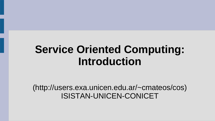# **Service Oriented Computing: Introduction**

(http://users.exa.unicen.edu.ar/~cmateos/cos) ISISTAN-UNICEN-CONICET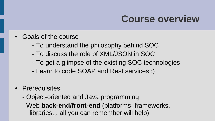#### **Course overview**

- Goals of the course
	- To understand the philosophy behind SOC
	- To discuss the role of XML/JSON in SOC
	- To get a glimpse of the existing SOC technologies
	- Learn to code SOAP and Rest services :)
- Prerequisites
	- Object-oriented and Java programming
	- Web **back-end/front-end** (platforms, frameworks, libraries... all you can remember will help)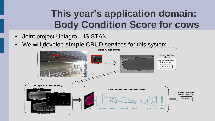# **This year's application domain: Body Condition Score for cows**

- Joint project Uniagro ISISTAN
- We will develop simple CRUD services for this system

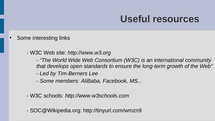#### **Useful resources**

- Some interesting links
	- W3C Web site: *[http://www.w3.org](http://www.w3.org/)*
		- *"The World Wide Web Consortium (W3C) is an international community that develops open standards to ensure the long-term growth of the Web"*
		- *Led by Tim-Berners Lee*
		- *Some members: AliBaba, Facebook, MS...*
	- W3C schools: *http://www.w3schools.com*
	- SOC@Wikipedia.org: http://tinyurl.com/wmzn9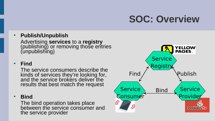## **SOC: Overview**

#### ● **Publish/Unpublish**

Advertising **services** to a **registry** (publishing) or removing those entries (unpublishing)

#### ● **Find**

The service consumers describe the kinds of services they're looking for, and the service brokers deliver the results that best match the request

● **Bind**

The bind operation takes place between the service consumer and the service provider

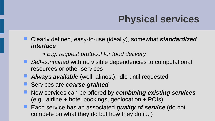# **Physical services**

- Clearly defined, easy-to-use (ideally), somewhat *standardized interface*
	- *E.g. request protocol for food delivery*
- Self-contained with no visible dependencies to computational resources or other services
- *Always available* (well, almost); idle until requested
- Services are *coarse-grained*
- **New services can be offered by** *combining existing services* (e.g., airline + hotel bookings, geolocation + POIs)
- **Each service has an associated** *quality of service* (do not compete on what they do but how they do it...)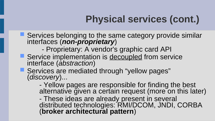# **Physical services (cont.)**

- **Services belonging to the same category provide similar** interfaces (*non-proprietary*)
	- Proprietary: A vendor's graphic card API
- Service implementation is decoupled from service interface (*abstraction*)
- **Services are mediated through "yellow pages"** (*discovery*)...
	- Yellow pages are responsible for finding the best alternative given a certain request (more on this later)
	- These ideas are already present in several distributed technologies: RMI/DCOM, JNDI, CORBA (**broker architectural pattern**)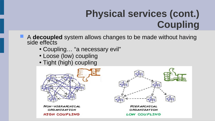# **Physical services (cont.) Coupling**

- **A decoupled** system allows changes to be made without having side effects
	- Coupling… "a necessary evil"
	- Loose (low) coupling
	- Tight (high) coupling

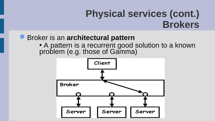### **Physical services (cont.) Brokers**

#### **Broker is an architectural pattern**

• A pattern is a recurrent good solution to a known problem (e.g. those of Gamma)

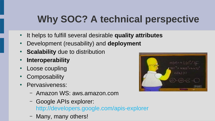# **Why SOC? A technical perspective**

- It helps to fulfill several desirable **quality attributes**
- **Development (reusability) and deployment**
- **Scalability** due to distribution
- **Interoperability**
- **Loose coupling**
- **Composability**
- Pervasiveness:
	- Amazon WS: aws.amazon.com
	- Google APIs explorer: <http://developers.google.com/apis-explorer>
	- Many, many others!

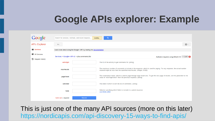#### **Google APIs explorer: Example**

| Google                                               | Search for services, methods, and recent requests                    | Loading                                                                                                                                                                                              |
|------------------------------------------------------|----------------------------------------------------------------------|------------------------------------------------------------------------------------------------------------------------------------------------------------------------------------------------------|
| <b>APIs Explorer</b>                                 | $\leftarrow$                                                         | iĝi v                                                                                                                                                                                                |
| <b>E</b> Services                                    | Learn more about using the Google+ API by reading the documentation. |                                                                                                                                                                                                      |
| <b>Ext. All Versions</b><br><b>D</b> Request History | Services > Google+ API v1 > plus.comments.list                       | Authorize requests using OAuth 2.0:<br>$\overline{\text{OFF}}$                                                                                                                                       |
|                                                      | activityId                                                           | The ID of the activity to get comments for. (string)                                                                                                                                                 |
|                                                      | maxResults                                                           | The maximum number of comments to include in the response, which is used for paging. For any response, the actual number<br>returned might be less than the specified maxResults. (integer, 0-500)   |
|                                                      | pageToken                                                            | The continuation token, which is used to page through large result sets. To get the next page of results, set this parameter to the<br>value of "nextPageToken" from the previous response. (string) |
|                                                      | sortOrder                                                            | The order in which to sort the list of comments. (string)                                                                                                                                            |
|                                                      | fields                                                               | Selector specifying which fields to include in a partial response.<br>Use fields editor                                                                                                              |
|                                                      | $bold red = required$<br>Execute                                     |                                                                                                                                                                                                      |

This is just one of the many API sources (more on this later) <https://nordicapis.com/api-discovery-15-ways-to-find-apis/>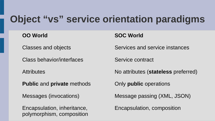#### **Object "vs" service orientation paradigms**

Class behavior/interfaces Service contract

**Public** and **private** methods **Only public** operations

Encapsulation, inheritance, Encapsulation, composition polymorphism, composition

**OO World SOC World**

Classes and objects Services and service instances

Attributes **No attributes** (**stateless** preferred)

Messages (invocations) Message passing (XML, JSON)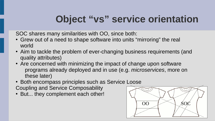### **Object "vs" service orientation**

SOC shares many similarities with OO, since both:

- Grew out of a need to shape software into units "mirroring" the real world
- Aim to tackle the problem of ever-changing business requirements (and quality attributes)
- Are concerned with minimizing the impact of change upon software programs already deployed and in use (e.g. *microservices*, more on these later)
- Both encompass principles such as Service Loose

Coupling and Service Composability

• But... they complement each other!

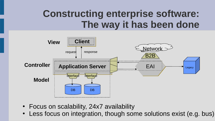### **Constructing enterprise software: The way it has been done**



- Focus on scalability, 24x7 availability
- Less focus on integration, though some solutions exist (e.g. bus)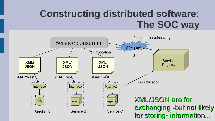## **Constructing distributed software: The SOC way**